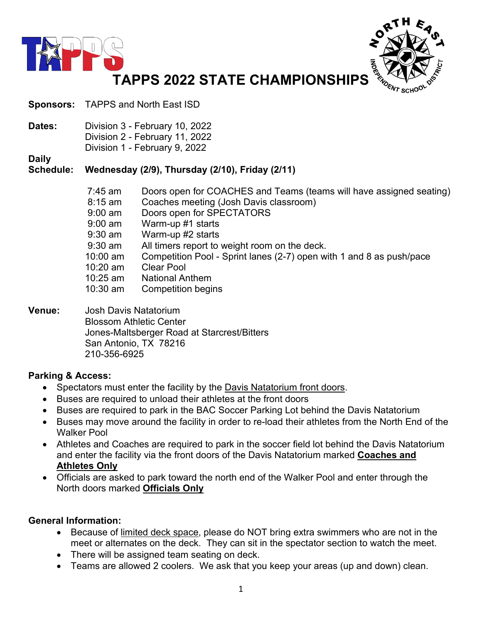



**Sponsors:** TAPPS and North East ISD

**Dates:** Division 3 - February 10, 2022 Division 2 - February 11, 2022 Division 1 - February 9, 2022

**Daily**

#### **Schedule: Wednesday (2/9), Thursday (2/10), Friday (2/11)**

| 7:45 am    | Doors open for COACHES and Teams (teams will have assigned seating)  |
|------------|----------------------------------------------------------------------|
| $8:15$ am  | Coaches meeting (Josh Davis classroom)                               |
| $9:00$ am  | Doors open for SPECTATORS                                            |
| $9:00$ am  | Warm-up #1 starts                                                    |
| $9:30$ am  | Warm-up #2 starts                                                    |
| $9:30$ am  | All timers report to weight room on the deck.                        |
| $10:00$ am | Competition Pool - Sprint lanes (2-7) open with 1 and 8 as push/pace |
| 10:20 am   | <b>Clear Pool</b>                                                    |
| $10:25$ am | <b>National Anthem</b>                                               |
| 10:30 am   | <b>Competition begins</b>                                            |

#### **Venue:** Josh Davis Natatorium Blossom Athletic Center Jones-Maltsberger Road at Starcrest/Bitters San Antonio, TX 78216 210-356-6925

#### **Parking & Access:**

- Spectators must enter the facility by the Davis Natatorium front doors.
- Buses are required to unload their athletes at the front doors
- Buses are required to park in the BAC Soccer Parking Lot behind the Davis Natatorium
- Buses may move around the facility in order to re-load their athletes from the North End of the Walker Pool
- Athletes and Coaches are required to park in the soccer field lot behind the Davis Natatorium and enter the facility via the front doors of the Davis Natatorium marked **Coaches and Athletes Only**
- Officials are asked to park toward the north end of the Walker Pool and enter through the North doors marked **Officials Only**

#### **General Information:**

- Because of limited deck space, please do NOT bring extra swimmers who are not in the meet or alternates on the deck. They can sit in the spectator section to watch the meet.
- There will be assigned team seating on deck.
- Teams are allowed 2 coolers. We ask that you keep your areas (up and down) clean.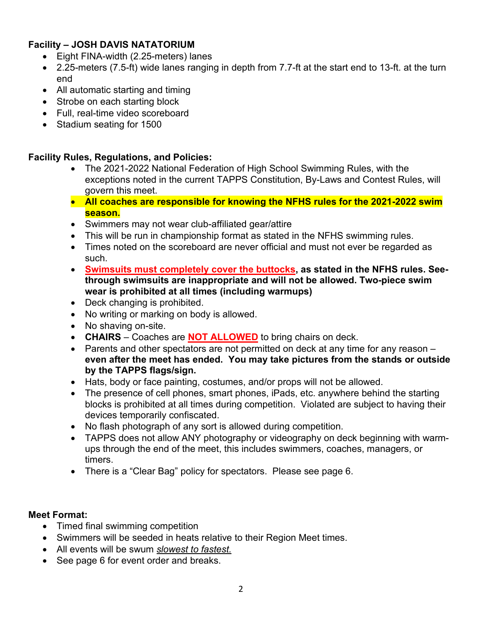## **Facility – JOSH DAVIS NATATORIUM**

- Eight FINA-width (2.25-meters) lanes
- 2.25-meters (7.5-ft) wide lanes ranging in depth from 7.7-ft at the start end to 13-ft. at the turn end
- All automatic starting and timing
- Strobe on each starting block
- Full, real-time video scoreboard
- Stadium seating for 1500

#### **Facility Rules, Regulations, and Policies:**

- The 2021-2022 National Federation of High School Swimming Rules, with the exceptions noted in the current TAPPS Constitution, By-Laws and Contest Rules, will govern this meet.
- **All coaches are responsible for knowing the NFHS rules for the 2021-2022 swim season.**
- Swimmers may not wear club-affiliated gear/attire
- This will be run in championship format as stated in the NFHS swimming rules.
- Times noted on the scoreboard are never official and must not ever be regarded as such.
- **Swimsuits must completely cover the buttocks, as stated in the NFHS rules. Seethrough swimsuits are inappropriate and will not be allowed. Two-piece swim wear is prohibited at all times (including warmups)**
- Deck changing is prohibited.
- No writing or marking on body is allowed.
- No shaving on-site.
- **CHAIRS** Coaches are **NOT ALLOWED** to bring chairs on deck.
- Parents and other spectators are not permitted on deck at any time for any reason **even after the meet has ended. You may take pictures from the stands or outside by the TAPPS flags/sign.**
- Hats, body or face painting, costumes, and/or props will not be allowed.
- The presence of cell phones, smart phones, iPads, etc. anywhere behind the starting blocks is prohibited at all times during competition. Violated are subject to having their devices temporarily confiscated.
- No flash photograph of any sort is allowed during competition.
- TAPPS does not allow ANY photography or videography on deck beginning with warmups through the end of the meet, this includes swimmers, coaches, managers, or timers.
- There is a "Clear Bag" policy for spectators. Please see page 6.

#### **Meet Format:**

- Timed final swimming competition
- Swimmers will be seeded in heats relative to their Region Meet times.
- All events will be swum *slowest to fastest.*
- See page 6 for event order and breaks.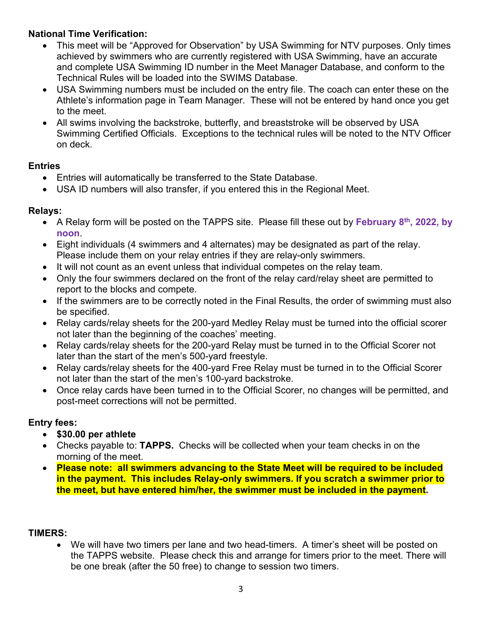## **National Time Verification:**

- This meet will be "Approved for Observation" by USA Swimming for NTV purposes. Only times achieved by swimmers who are currently registered with USA Swimming, have an accurate and complete USA Swimming ID number in the Meet Manager Database, and conform to the Technical Rules will be loaded into the SWIMS Database.
- USA Swimming numbers must be included on the entry file. The coach can enter these on the Athlete's information page in Team Manager. These will not be entered by hand once you get to the meet.
- All swims involving the backstroke, butterfly, and breaststroke will be observed by USA Swimming Certified Officials. Exceptions to the technical rules will be noted to the NTV Officer on deck.

### **Entries**

- Entries will automatically be transferred to the State Database.
- USA ID numbers will also transfer, if you entered this in the Regional Meet.

## **Relays:**

- A Relay form will be posted on the TAPPS site. Please fill these out by **February 8th, 2022, by noon**.
- Eight individuals (4 swimmers and 4 alternates) may be designated as part of the relay. Please include them on your relay entries if they are relay-only swimmers.
- It will not count as an event unless that individual competes on the relay team.
- Only the four swimmers declared on the front of the relay card/relay sheet are permitted to report to the blocks and compete.
- If the swimmers are to be correctly noted in the Final Results, the order of swimming must also be specified.
- Relay cards/relay sheets for the 200-yard Medley Relay must be turned into the official scorer not later than the beginning of the coaches' meeting.
- Relay cards/relay sheets for the 200-yard Relay must be turned in to the Official Scorer not later than the start of the men's 500-yard freestyle.
- Relay cards/relay sheets for the 400-yard Free Relay must be turned in to the Official Scorer not later than the start of the men's 100-yard backstroke.
- Once relay cards have been turned in to the Official Scorer, no changes will be permitted, and post-meet corrections will not be permitted.

## **Entry fees:**

- **\$30.00 per athlete**
- Checks payable to: **TAPPS.** Checks will be collected when your team checks in on the morning of the meet.
- **Please note: all swimmers advancing to the State Meet will be required to be included in the payment. This includes Relay-only swimmers. If you scratch a swimmer prior to the meet, but have entered him/her, the swimmer must be included in the payment.**

#### **TIMERS:**

• We will have two timers per lane and two head-timers. A timer's sheet will be posted on the TAPPS website. Please check this and arrange for timers prior to the meet. There will be one break (after the 50 free) to change to session two timers.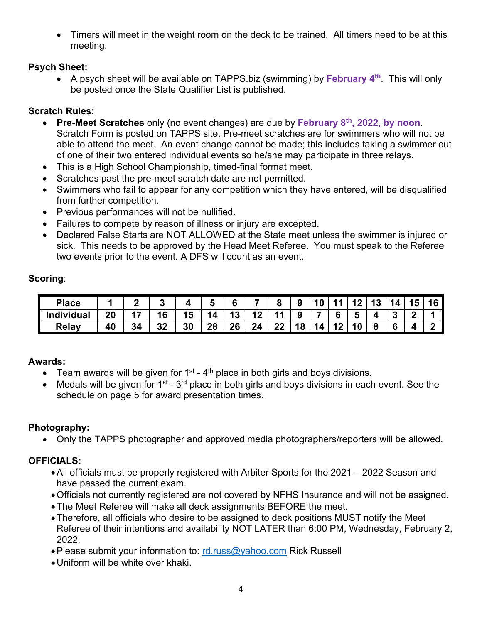• Timers will meet in the weight room on the deck to be trained. All timers need to be at this meeting.

### **Psych Sheet:**

• A psych sheet will be available on TAPPS.biz (swimming) by **February 4th**. This will only be posted once the State Qualifier List is published.

## **Scratch Rules:**

- **Pre-Meet Scratches** only (no event changes) are due by **February 8th, 2022, by noon**. Scratch Form is posted on TAPPS site. Pre-meet scratches are for swimmers who will not be able to attend the meet. An event change cannot be made; this includes taking a swimmer out of one of their two entered individual events so he/she may participate in three relays.
- This is a High School Championship, timed-final format meet.
- Scratches past the pre-meet scratch date are not permitted.
- Swimmers who fail to appear for any competition which they have entered, will be disqualified from further competition.
- Previous performances will not be nullified.
- Failures to compete by reason of illness or injury are excepted.
- Declared False Starts are NOT ALLOWED at the State meet unless the swimmer is injured or sick. This needs to be approved by the Head Meet Referee. You must speak to the Referee two events prior to the event. A DFS will count as an event.

### **Scoring**:

| <b>Place</b>      |    |          |    |    | ◠<br>h |    |          | 9  | 10 |   |   | 15     | ם ו | 16 |
|-------------------|----|----------|----|----|--------|----|----------|----|----|---|---|--------|-----|----|
| <b>Individual</b> | 20 | 16       | Ð  | Ч  | 3،     | 12 |          | 9  |    | n | - |        |     |    |
| Relay             | 40 | ??<br>◡∠ | 30 | 28 | 26     | 24 | クク<br>∸∸ | 18 | 14 |   |   | о<br>Ο |     | c  |

#### **Awards:**

- Team awards will be given for  $1<sup>st</sup>$  4<sup>th</sup> place in both girls and boys divisions.
- Medals will be given for  $1^{st}$   $3^{rd}$  place in both girls and boys divisions in each event. See the schedule on page 5 for award presentation times.

## **Photography:**

• Only the TAPPS photographer and approved media photographers/reporters will be allowed.

## **OFFICIALS:**

- All officials must be properly registered with Arbiter Sports for the 2021 2022 Season and have passed the current exam.
- •Officials not currently registered are not covered by NFHS Insurance and will not be assigned.
- •The Meet Referee will make all deck assignments BEFORE the meet.
- •Therefore, all officials who desire to be assigned to deck positions MUST notify the Meet Referee of their intentions and availability NOT LATER than 6:00 PM, Wednesday, February 2, 2022.
- Please submit your information to: [rd.russ@yahoo.com](mailto:rd.russ@yahoo.com) Rick Russell
- •Uniform will be white over khaki.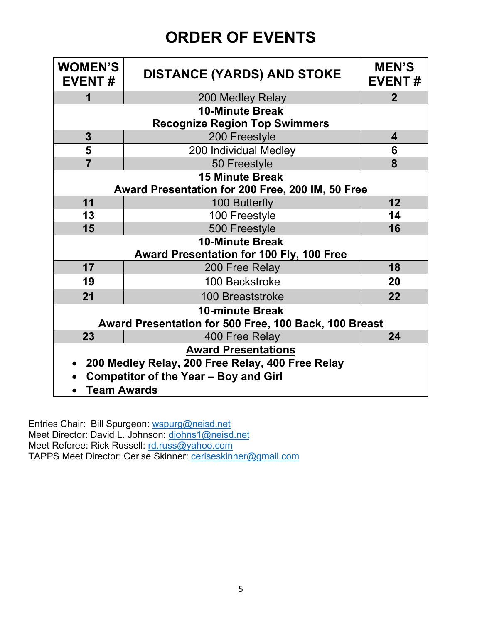# **ORDER OF EVENTS**

| <b>WOMEN'S</b><br><b>EVENT#</b>                  | <b>DISTANCE (YARDS) AND STOKE</b>                     |                 |  |  |  |  |  |  |
|--------------------------------------------------|-------------------------------------------------------|-----------------|--|--|--|--|--|--|
| 1                                                | 200 Medley Relay                                      | $\mathbf{2}$    |  |  |  |  |  |  |
| <b>10-Minute Break</b>                           |                                                       |                 |  |  |  |  |  |  |
|                                                  | <b>Recognize Region Top Swimmers</b>                  |                 |  |  |  |  |  |  |
| $\mathbf{3}$                                     | 200 Freestyle                                         | 4               |  |  |  |  |  |  |
| 5                                                | 200 Individual Medley                                 | 6               |  |  |  |  |  |  |
| $\overline{7}$                                   | 50 Freestyle                                          | 8               |  |  |  |  |  |  |
| <b>15 Minute Break</b>                           |                                                       |                 |  |  |  |  |  |  |
| Award Presentation for 200 Free, 200 IM, 50 Free |                                                       |                 |  |  |  |  |  |  |
| 11                                               | 100 Butterfly                                         | 12 <sub>2</sub> |  |  |  |  |  |  |
| 13                                               | 100 Freestyle                                         | 14              |  |  |  |  |  |  |
| 15                                               | 500 Freestyle                                         | 16              |  |  |  |  |  |  |
| <b>10-Minute Break</b>                           |                                                       |                 |  |  |  |  |  |  |
|                                                  | Award Presentation for 100 Fly, 100 Free              |                 |  |  |  |  |  |  |
| 17                                               | 200 Free Relay                                        | 18              |  |  |  |  |  |  |
| 19                                               | 100 Backstroke                                        | 20              |  |  |  |  |  |  |
| 21                                               | 100 Breaststroke                                      | 22              |  |  |  |  |  |  |
| <b>10-minute Break</b>                           |                                                       |                 |  |  |  |  |  |  |
|                                                  | Award Presentation for 500 Free, 100 Back, 100 Breast |                 |  |  |  |  |  |  |
| 23                                               | 400 Free Relay                                        | 24              |  |  |  |  |  |  |
| <b>Award Presentations</b>                       |                                                       |                 |  |  |  |  |  |  |
| 200 Medley Relay, 200 Free Relay, 400 Free Relay |                                                       |                 |  |  |  |  |  |  |
| <b>Competitor of the Year - Boy and Girl</b>     |                                                       |                 |  |  |  |  |  |  |
| <b>Team Awards</b>                               |                                                       |                 |  |  |  |  |  |  |

Entries Chair: Bill Spurgeon: [wspurg@neisd.net](mailto:wspurg@neisd.net) Meet Director: David L. Johnson: <u>djohns1@neisd.net</u> Meet Referee: Rick Russell: [rd.russ@yahoo.com](mailto:rd.russ@yahoo.com) TAPPS Meet Director: Cerise Skinner: [ceriseskinner@gmail.com](mailto:ceriseskinner@gmail.com)